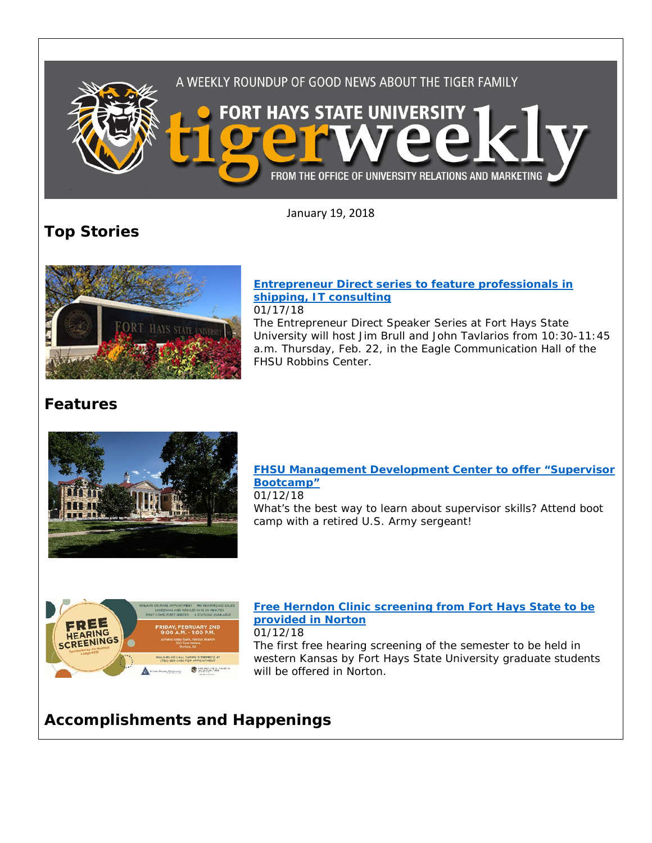

January 19, 2018

# **Top Stories**



#### **[Entrepreneur Direct series to feature professionals in](http://www.fhsu.edu/news/2018/01/entrepreneur-direct-series-to-feature-professionals-in-shipping,-it-consulting.html)  [shipping, IT consulting](http://www.fhsu.edu/news/2018/01/entrepreneur-direct-series-to-feature-professionals-in-shipping,-it-consulting.html)** 01/17/18

The Entrepreneur Direct Speaker Series at Fort Hays State University will host Jim Brull and John Tavlarios from 10:30-11:45 a.m. Thursday, Feb. 22, in the Eagle Communication Hall of the FHSU Robbins Center.

# **Features**



### **[FHSU Management Development Center to offer "Supervisor](https://www.fhsu.edu/news/2018/01/fhsu-management-development-center-to-offer-supervisor-bootcamp.html)  [Bootcamp"](https://www.fhsu.edu/news/2018/01/fhsu-management-development-center-to-offer-supervisor-bootcamp.html)** 01/12/18

What's the best way to learn about supervisor skills? Attend boot camp with a retired U.S. Army sergeant!



#### **[Free Herndon Clinic screening from Fort Hays State to be](https://www.fhsu.edu/news/2018/01/free-herndon-clinic-screening-from-fort-hays-state-to-be-provided-in-norton.html)  [provided in Norton](https://www.fhsu.edu/news/2018/01/free-herndon-clinic-screening-from-fort-hays-state-to-be-provided-in-norton.html)** 01/12/18

The first free hearing screening of the semester to be held in western Kansas by Fort Hays State University graduate students will be offered in Norton.

# **Accomplishments and Happenings**